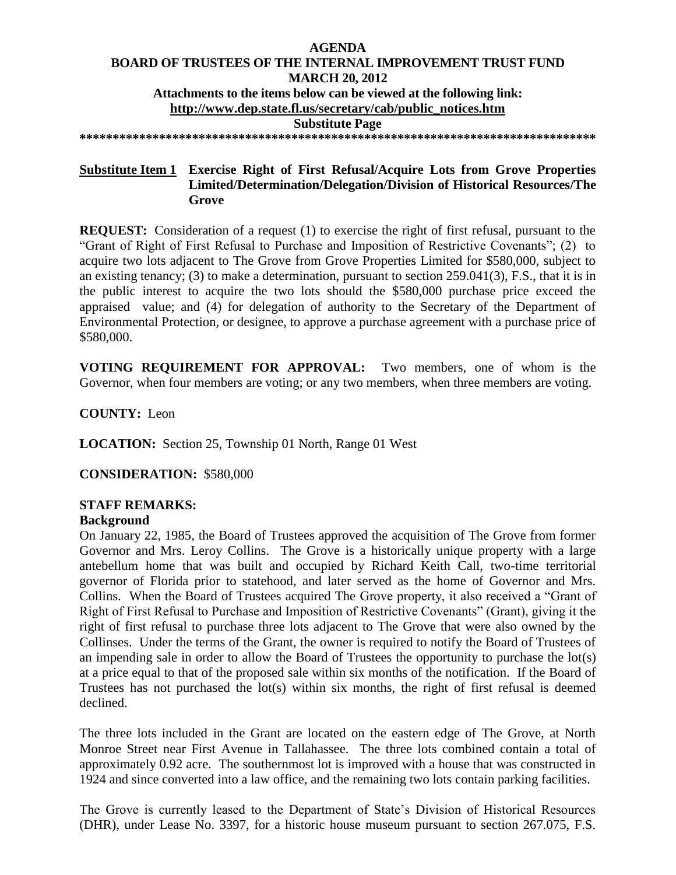# **AGENDA BOARD OF TRUSTEES OF THE INTERNAL IMPROVEMENT TRUST FUND MARCH 20, 2012 Attachments to the items below can be viewed at the following link: [http://www.dep.state.fl.us/secretary/cab/public\\_notices.htm](http://www.dep.state.fl.us/secretary/cab/public_notices.htm) Substitute Page**

**\*\*\*\*\*\*\*\*\*\*\*\*\*\*\*\*\*\*\*\*\*\*\*\*\*\*\*\*\*\*\*\*\*\*\*\*\*\*\*\*\*\*\*\*\*\*\*\*\*\*\*\*\*\*\*\*\*\*\*\*\*\*\*\*\*\*\*\*\*\*\*\*\*\*\*\*\*\***

# **Substitute Item 1 Exercise Right of First Refusal/Acquire Lots from Grove Properties Limited/Determination/Delegation/Division of Historical Resources/The Grove**

**REQUEST:** Consideration of a request (1) to exercise the right of first refusal, pursuant to the "Grant of Right of First Refusal to Purchase and Imposition of Restrictive Covenants"; (2) to acquire two lots adjacent to The Grove from Grove Properties Limited for \$580,000, subject to an existing tenancy; (3) to make a determination, pursuant to section 259.041(3), F.S., that it is in the public interest to acquire the two lots should the \$580,000 purchase price exceed the appraised value; and (4) for delegation of authority to the Secretary of the Department of Environmental Protection, or designee, to approve a purchase agreement with a purchase price of \$580,000.

**VOTING REQUIREMENT FOR APPROVAL:** Two members, one of whom is the Governor, when four members are voting; or any two members, when three members are voting.

**COUNTY:** Leon

**LOCATION:** Section 25, Township 01 North, Range 01 West

**CONSIDERATION:** \$580,000

# **STAFF REMARKS:**

# **Background**

On January 22, 1985, the Board of Trustees approved the acquisition of The Grove from former Governor and Mrs. Leroy Collins. The Grove is a historically unique property with a large antebellum home that was built and occupied by Richard Keith Call, two-time territorial governor of Florida prior to statehood, and later served as the home of Governor and Mrs. Collins. When the Board of Trustees acquired The Grove property, it also received a "Grant of Right of First Refusal to Purchase and Imposition of Restrictive Covenants" (Grant), giving it the right of first refusal to purchase three lots adjacent to The Grove that were also owned by the Collinses. Under the terms of the Grant, the owner is required to notify the Board of Trustees of an impending sale in order to allow the Board of Trustees the opportunity to purchase the lot(s) at a price equal to that of the proposed sale within six months of the notification. If the Board of Trustees has not purchased the lot(s) within six months, the right of first refusal is deemed declined.

The three lots included in the Grant are located on the eastern edge of The Grove, at North Monroe Street near First Avenue in Tallahassee. The three lots combined contain a total of approximately 0.92 acre. The southernmost lot is improved with a house that was constructed in 1924 and since converted into a law office, and the remaining two lots contain parking facilities.

The Grove is currently leased to the Department of State's Division of Historical Resources (DHR), under Lease No. 3397, for a historic house museum pursuant to section 267.075, F.S.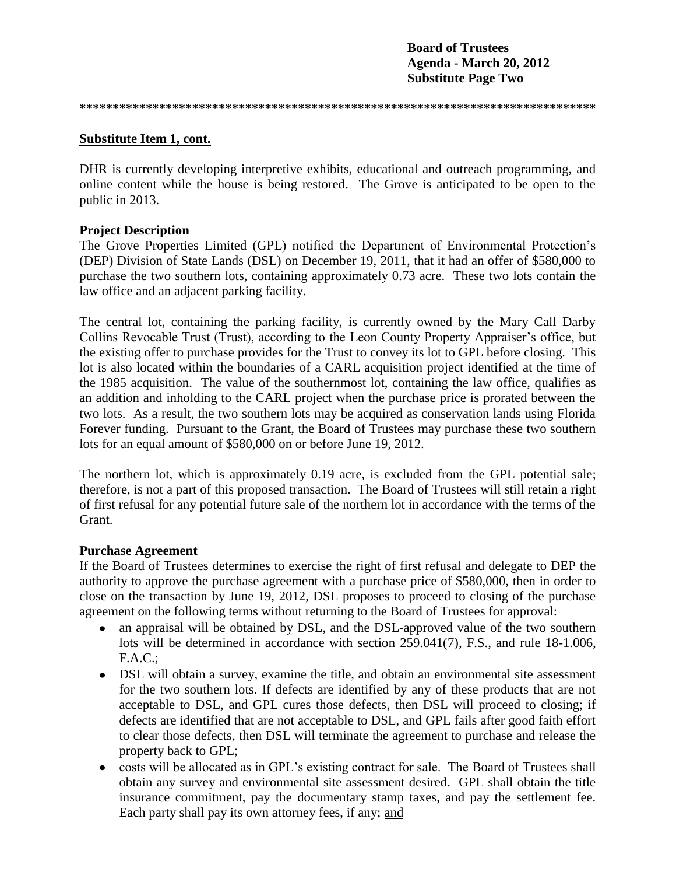**Board of Trustees Agenda - March 20, 2012 Substitute Page Two**

**\*\*\*\*\*\*\*\*\*\*\*\*\*\*\*\*\*\*\*\*\*\*\*\*\*\*\*\*\*\*\*\*\*\*\*\*\*\*\*\*\*\*\*\*\*\*\*\*\*\*\*\*\*\*\*\*\*\*\*\*\*\*\*\*\*\*\*\*\*\*\*\*\*\*\*\*\*\***

# **Substitute Item 1, cont.**

DHR is currently developing interpretive exhibits, educational and outreach programming, and online content while the house is being restored. The Grove is anticipated to be open to the public in 2013.

# **Project Description**

The Grove Properties Limited (GPL) notified the Department of Environmental Protection's (DEP) Division of State Lands (DSL) on December 19, 2011, that it had an offer of \$580,000 to purchase the two southern lots, containing approximately 0.73 acre. These two lots contain the law office and an adjacent parking facility.

The central lot, containing the parking facility, is currently owned by the Mary Call Darby Collins Revocable Trust (Trust), according to the Leon County Property Appraiser's office, but the existing offer to purchase provides for the Trust to convey its lot to GPL before closing. This lot is also located within the boundaries of a CARL acquisition project identified at the time of the 1985 acquisition. The value of the southernmost lot, containing the law office, qualifies as an addition and inholding to the CARL project when the purchase price is prorated between the two lots. As a result, the two southern lots may be acquired as conservation lands using Florida Forever funding. Pursuant to the Grant, the Board of Trustees may purchase these two southern lots for an equal amount of \$580,000 on or before June 19, 2012.

The northern lot, which is approximately 0.19 acre, is excluded from the GPL potential sale; therefore, is not a part of this proposed transaction. The Board of Trustees will still retain a right of first refusal for any potential future sale of the northern lot in accordance with the terms of the Grant.

# **Purchase Agreement**

If the Board of Trustees determines to exercise the right of first refusal and delegate to DEP the authority to approve the purchase agreement with a purchase price of \$580,000, then in order to close on the transaction by June 19, 2012, DSL proposes to proceed to closing of the purchase agreement on the following terms without returning to the Board of Trustees for approval:

- an appraisal will be obtained by DSL, and the DSL-approved value of the two southern  $\bullet$ lots will be determined in accordance with section 259.041(7), F.S., and rule 18-1.006, F.A.C.;
- DSL will obtain a survey, examine the title, and obtain an environmental site assessment for the two southern lots. If defects are identified by any of these products that are not acceptable to DSL, and GPL cures those defects, then DSL will proceed to closing; if defects are identified that are not acceptable to DSL, and GPL fails after good faith effort to clear those defects, then DSL will terminate the agreement to purchase and release the property back to GPL;
- costs will be allocated as in GPL's existing contract for sale. The Board of Trustees shall  $\bullet$ obtain any survey and environmental site assessment desired. GPL shall obtain the title insurance commitment, pay the documentary stamp taxes, and pay the settlement fee. Each party shall pay its own attorney fees, if any; and